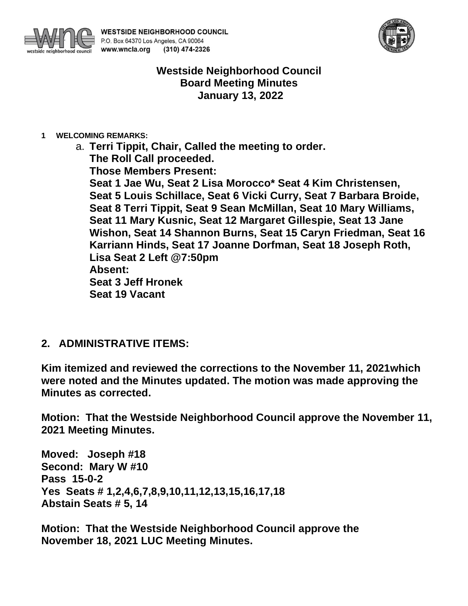



# **Westside Neighborhood Council Board Meeting Minutes January 13, 2022**

**1 WELCOMING REMARKS:**

a. **Terri Tippit, Chair, Called the meeting to order. The Roll Call proceeded. Those Members Present: Seat 1 Jae Wu, Seat 2 Lisa Morocco\* Seat 4 Kim Christensen, Seat 5 Louis Schillace, Seat 6 Vicki Curry, Seat 7 Barbara Broide, Seat 8 Terri Tippit, Seat 9 Sean McMillan, Seat 10 Mary Williams, Seat 11 Mary Kusnic, Seat 12 Margaret Gillespie, Seat 13 Jane Wishon, Seat 14 Shannon Burns, Seat 15 Caryn Friedman, Seat 16 Karriann Hinds, Seat 17 Joanne Dorfman, Seat 18 Joseph Roth, Lisa Seat 2 Left @7:50pm Absent: Seat 3 Jeff Hronek Seat 19 Vacant**

## **2. ADMINISTRATIVE ITEMS:**

**Kim itemized and reviewed the corrections to the November 11, 2021which were noted and the Minutes updated. The motion was made approving the Minutes as corrected.**

**Motion: That the Westside Neighborhood Council approve the November 11, 2021 Meeting Minutes.**

**Moved: Joseph #18 Second: Mary W #10 Pass 15-0-2 Yes Seats # 1,2,4,6,7,8,9,10,11,12,13,15,16,17,18 Abstain Seats # 5, 14**

**Motion: That the Westside Neighborhood Council approve the November 18, 2021 LUC Meeting Minutes.**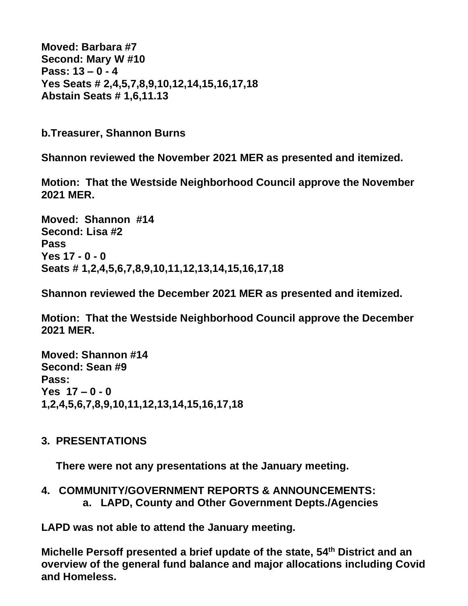**Moved: Barbara #7 Second: Mary W #10 Pass: 13 – 0 - 4 Yes Seats # 2,4,5,7,8,9,10,12,14,15,16,17,18 Abstain Seats # 1,6,11.13**

**b.Treasurer, Shannon Burns**

**Shannon reviewed the November 2021 MER as presented and itemized.**

**Motion: That the Westside Neighborhood Council approve the November 2021 MER.**

**Moved: Shannon #14 Second: Lisa #2 Pass Yes 17 - 0 - 0 Seats # 1,2,4,5,6,7,8,9,10,11,12,13,14,15,16,17,18**

**Shannon reviewed the December 2021 MER as presented and itemized.**

**Motion: That the Westside Neighborhood Council approve the December 2021 MER.**

**Moved: Shannon #14 Second: Sean #9 Pass: Yes 17 – 0 - 0 1,2,4,5,6,7,8,9,10,11,12,13,14,15,16,17,18**

# **3. PRESENTATIONS**

 **There were not any presentations at the January meeting.**

**4. COMMUNITY/GOVERNMENT REPORTS & ANNOUNCEMENTS: a. LAPD, County and Other Government Depts./Agencies** 

**LAPD was not able to attend the January meeting.**

**Michelle Persoff presented a brief update of the state, 54th District and an overview of the general fund balance and major allocations including Covid and Homeless.**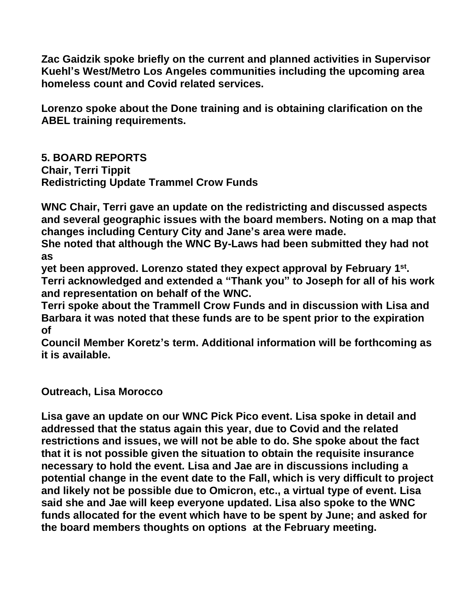**Zac Gaidzik spoke briefly on the current and planned activities in Supervisor Kuehl's West/Metro Los Angeles communities including the upcoming area homeless count and Covid related services.**

**Lorenzo spoke about the Done training and is obtaining clarification on the ABEL training requirements.**

**5. BOARD REPORTS Chair, Terri Tippit Redistricting Update Trammel Crow Funds**

**WNC Chair, Terri gave an update on the redistricting and discussed aspects and several geographic issues with the board members. Noting on a map that changes including Century City and Jane's area were made.**

**She noted that although the WNC By-Laws had been submitted they had not as**

yet been approved. Lorenzo stated they expect approval by February 1<sup>st</sup>. **Terri acknowledged and extended a "Thank you" to Joseph for all of his work and representation on behalf of the WNC.**

**Terri spoke about the Trammell Crow Funds and in discussion with Lisa and Barbara it was noted that these funds are to be spent prior to the expiration of** 

**Council Member Koretz's term. Additional information will be forthcoming as it is available.**

**Outreach, Lisa Morocco**

**Lisa gave an update on our WNC Pick Pico event. Lisa spoke in detail and addressed that the status again this year, due to Covid and the related restrictions and issues, we will not be able to do. She spoke about the fact that it is not possible given the situation to obtain the requisite insurance necessary to hold the event. Lisa and Jae are in discussions including a potential change in the event date to the Fall, which is very difficult to project and likely not be possible due to Omicron, etc., a virtual type of event. Lisa said she and Jae will keep everyone updated. Lisa also spoke to the WNC funds allocated for the event which have to be spent by June; and asked for the board members thoughts on options at the February meeting.**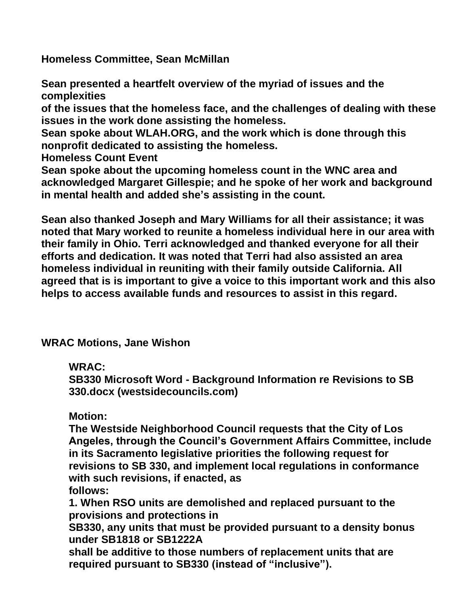**Homeless Committee, Sean McMillan**

**Sean presented a heartfelt overview of the myriad of issues and the complexities** 

**of the issues that the homeless face, and the challenges of dealing with these issues in the work done assisting the homeless.**

**Sean spoke about WLAH.ORG, and the work which is done through this nonprofit dedicated to assisting the homeless.**

**Homeless Count Event**

**Sean spoke about the upcoming homeless count in the WNC area and acknowledged Margaret Gillespie; and he spoke of her work and background in mental health and added she's assisting in the count.** 

**Sean also thanked Joseph and Mary Williams for all their assistance; it was noted that Mary worked to reunite a homeless individual here in our area with their family in Ohio. Terri acknowledged and thanked everyone for all their efforts and dedication. It was noted that Terri had also assisted an area homeless individual in reuniting with their family outside California. All agreed that is is important to give a voice to this important work and this also helps to access available funds and resources to assist in this regard.**

**WRAC Motions, Jane Wishon**

**WRAC:**

**SB330 Microsoft Word - Background Information re Revisions to SB 330.docx (westsidecouncils.com)**

**Motion:**

**The Westside Neighborhood Council requests that the City of Los Angeles, through the Council's Government Affairs Committee, include in its Sacramento legislative priorities the following request for revisions to SB 330, and implement local regulations in conformance with such revisions, if enacted, as follows:**

**1. When RSO units are demolished and replaced pursuant to the provisions and protections in** 

**SB330, any units that must be provided pursuant to a density bonus under SB1818 or SB1222A** 

**shall be additive to those numbers of replacement units that are required pursuant to SB330 (instead of "inclusive").**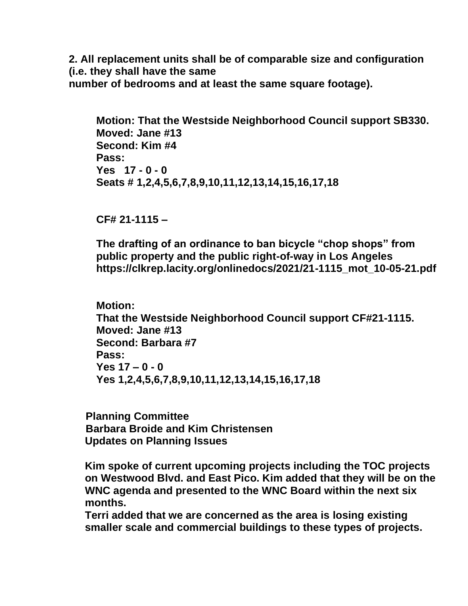**2. All replacement units shall be of comparable size and configuration (i.e. they shall have the same number of bedrooms and at least the same square footage).**

**Motion: That the Westside Neighborhood Council support SB330. Moved: Jane #13 Second: Kim #4 Pass: Yes 17 - 0 - 0 Seats # 1,2,4,5,6,7,8,9,10,11,12,13,14,15,16,17,18**

**CF# 21-1115 –**

**The drafting of an ordinance to ban bicycle "chop shops" from public property and the public right-of-way in Los Angeles https://clkrep.lacity.org/onlinedocs/2021/21-1115\_mot\_10-05-21.pdf**

**Motion: That the Westside Neighborhood Council support CF#21-1115. Moved: Jane #13 Second: Barbara #7 Pass: Yes 17 – 0 - 0 Yes 1,2,4,5,6,7,8,9,10,11,12,13,14,15,16,17,18**

 **Planning Committee Barbara Broide and Kim Christensen Updates on Planning Issues**

**Kim spoke of current upcoming projects including the TOC projects on Westwood Blvd. and East Pico. Kim added that they will be on the WNC agenda and presented to the WNC Board within the next six months.**

**Terri added that we are concerned as the area is losing existing smaller scale and commercial buildings to these types of projects.**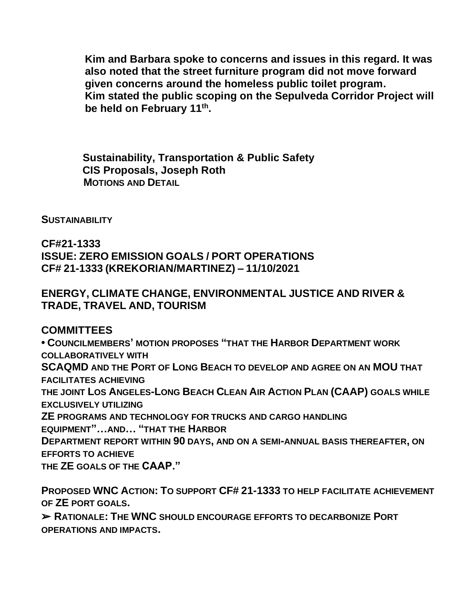**Kim and Barbara spoke to concerns and issues in this regard. It was also noted that the street furniture program did not move forward given concerns around the homeless public toilet program. Kim stated the public scoping on the Sepulveda Corridor Project will be held on February 11th .**

 **Sustainability, Transportation & Public Safety CIS Proposals, Joseph Roth MOTIONS AND DETAIL** 

**SUSTAINABILITY**

**CF#21-1333 ISSUE: ZERO EMISSION GOALS / PORT OPERATIONS CF# 21-1333 (KREKORIAN/MARTINEZ) – 11/10/2021**

## **ENERGY, CLIMATE CHANGE, ENVIRONMENTAL JUSTICE AND RIVER & TRADE, TRAVEL AND, TOURISM**

**COMMITTEES**

**• COUNCILMEMBERS' MOTION PROPOSES "THAT THE HARBOR DEPARTMENT WORK COLLABORATIVELY WITH SCAQMD AND THE PORT OF LONG BEACH TO DEVELOP AND AGREE ON AN MOU THAT FACILITATES ACHIEVING THE JOINT LOS ANGELES-LONG BEACH CLEAN AIR ACTION PLAN (CAAP) GOALS WHILE EXCLUSIVELY UTILIZING ZE PROGRAMS AND TECHNOLOGY FOR TRUCKS AND CARGO HANDLING EQUIPMENT"…AND… "THAT THE HARBOR DEPARTMENT REPORT WITHIN 90 DAYS, AND ON A SEMI-ANNUAL BASIS THEREAFTER, ON EFFORTS TO ACHIEVE THE ZE GOALS OF THE CAAP."**

**PROPOSED WNC ACTION: TO SUPPORT CF# 21-1333 TO HELP FACILITATE ACHIEVEMENT OF ZE PORT GOALS.**

➢ **RATIONALE: THE WNC SHOULD ENCOURAGE EFFORTS TO DECARBONIZE PORT OPERATIONS AND IMPACTS.**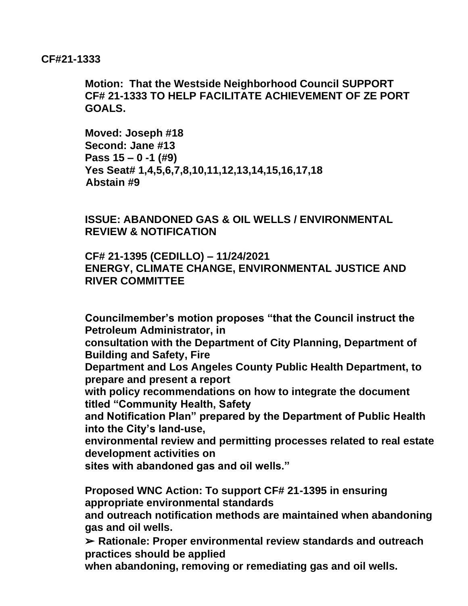#### **CF#21-1333**

**Motion: That the Westside Neighborhood Council SUPPORT CF# 21-1333 TO HELP FACILITATE ACHIEVEMENT OF ZE PORT GOALS.**

**Moved: Joseph #18 Second: Jane #13 Pass 15 – 0 -1 (#9) Yes Seat# 1,4,5,6,7,8,10,11,12,13,14,15,16,17,18 Abstain #9**

**ISSUE: ABANDONED GAS & OIL WELLS / ENVIRONMENTAL REVIEW & NOTIFICATION**

**CF# 21-1395 (CEDILLO) – 11/24/2021 ENERGY, CLIMATE CHANGE, ENVIRONMENTAL JUSTICE AND RIVER COMMITTEE**

**Councilmember's motion proposes "that the Council instruct the Petroleum Administrator, in** 

**consultation with the Department of City Planning, Department of Building and Safety, Fire** 

**Department and Los Angeles County Public Health Department, to prepare and present a report** 

**with policy recommendations on how to integrate the document titled "Community Health, Safety** 

**and Notification Plan" prepared by the Department of Public Health into the City's land-use,** 

**environmental review and permitting processes related to real estate development activities on** 

**sites with abandoned gas and oil wells."**

**Proposed WNC Action: To support CF# 21-1395 in ensuring appropriate environmental standards** 

**and outreach notification methods are maintained when abandoning gas and oil wells.**

➢ **Rationale: Proper environmental review standards and outreach practices should be applied** 

**when abandoning, removing or remediating gas and oil wells.**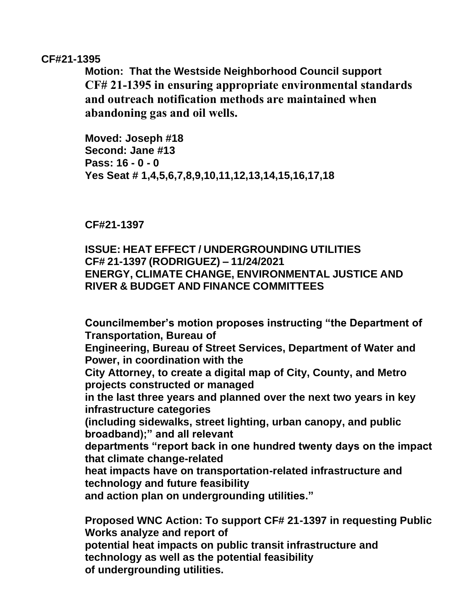#### **CF#21-1395**

**Motion: That the Westside Neighborhood Council support CF# 21-1395 in ensuring appropriate environmental standards and outreach notification methods are maintained when abandoning gas and oil wells.**

**Moved: Joseph #18 Second: Jane #13 Pass: 16 - 0 - 0 Yes Seat # 1,4,5,6,7,8,9,10,11,12,13,14,15,16,17,18**

**CF#21-1397**

## **ISSUE: HEAT EFFECT / UNDERGROUNDING UTILITIES CF# 21-1397 (RODRIGUEZ) – 11/24/2021 ENERGY, CLIMATE CHANGE, ENVIRONMENTAL JUSTICE AND RIVER & BUDGET AND FINANCE COMMITTEES**

**Councilmember's motion proposes instructing "the Department of Transportation, Bureau of Engineering, Bureau of Street Services, Department of Water and Power, in coordination with the City Attorney, to create a digital map of City, County, and Metro projects constructed or managed in the last three years and planned over the next two years in key infrastructure categories (including sidewalks, street lighting, urban canopy, and public broadband);" and all relevant departments "report back in one hundred twenty days on the impact that climate change-related heat impacts have on transportation-related infrastructure and technology and future feasibility and action plan on undergrounding utilities." Proposed WNC Action: To support CF# 21-1397 in requesting Public** 

**Works analyze and report of potential heat impacts on public transit infrastructure and technology as well as the potential feasibility of undergrounding utilities.**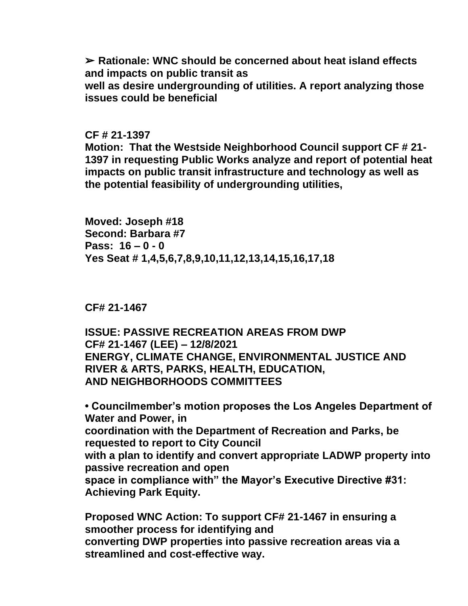➢ **Rationale: WNC should be concerned about heat island effects and impacts on public transit as** 

**well as desire undergrounding of utilities. A report analyzing those issues could be beneficial**

**CF # 21-1397**

**Motion: That the Westside Neighborhood Council support CF # 21- 1397 in requesting Public Works analyze and report of potential heat impacts on public transit infrastructure and technology as well as the potential feasibility of undergrounding utilities,**

**Moved: Joseph #18 Second: Barbara #7 Pass: 16 – 0 - 0 Yes Seat # 1,4,5,6,7,8,9,10,11,12,13,14,15,16,17,18**

**CF# 21-1467**

**ISSUE: PASSIVE RECREATION AREAS FROM DWP CF# 21-1467 (LEE) – 12/8/2021 ENERGY, CLIMATE CHANGE, ENVIRONMENTAL JUSTICE AND RIVER & ARTS, PARKS, HEALTH, EDUCATION, AND NEIGHBORHOODS COMMITTEES**

**• Councilmember's motion proposes the Los Angeles Department of Water and Power, in coordination with the Department of Recreation and Parks, be requested to report to City Council with a plan to identify and convert appropriate LADWP property into passive recreation and open space in compliance with" the Mayor's Executive Directive #31: Achieving Park Equity.** 

**Proposed WNC Action: To support CF# 21-1467 in ensuring a smoother process for identifying and converting DWP properties into passive recreation areas via a streamlined and cost-effective way.**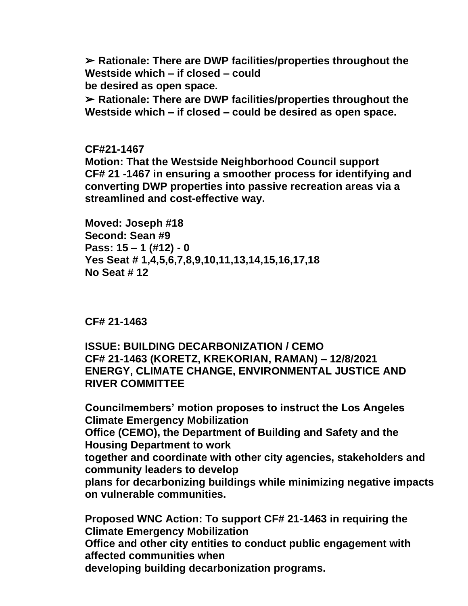➢ **Rationale: There are DWP facilities/properties throughout the Westside which – if closed – could be desired as open space.**

➢ **Rationale: There are DWP facilities/properties throughout the Westside which – if closed – could be desired as open space.**

**CF#21-1467 Motion: That the Westside Neighborhood Council support CF# 21 -1467 in ensuring a smoother process for identifying and converting DWP properties into passive recreation areas via a streamlined and cost-effective way.**

**Moved: Joseph #18 Second: Sean #9 Pass: 15 – 1 (#12) - 0 Yes Seat # 1,4,5,6,7,8,9,10,11,13,14,15,16,17,18 No Seat # 12**

**CF# 21-1463**

**ISSUE: BUILDING DECARBONIZATION / CEMO CF# 21-1463 (KORETZ, KREKORIAN, RAMAN) – 12/8/2021 ENERGY, CLIMATE CHANGE, ENVIRONMENTAL JUSTICE AND RIVER COMMITTEE**

**Councilmembers' motion proposes to instruct the Los Angeles Climate Emergency Mobilization Office (CEMO), the Department of Building and Safety and the Housing Department to work together and coordinate with other city agencies, stakeholders and community leaders to develop plans for decarbonizing buildings while minimizing negative impacts on vulnerable communities.** 

**Proposed WNC Action: To support CF# 21-1463 in requiring the Climate Emergency Mobilization Office and other city entities to conduct public engagement with affected communities when developing building decarbonization programs.**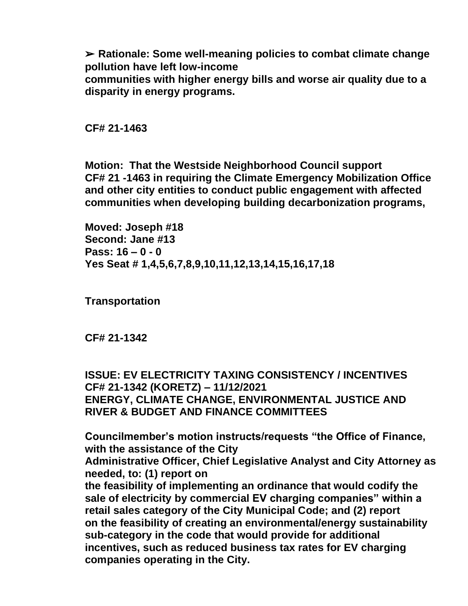➢ **Rationale: Some well-meaning policies to combat climate change pollution have left low-income** 

**communities with higher energy bills and worse air quality due to a disparity in energy programs.**

**CF# 21-1463**

**Motion: That the Westside Neighborhood Council support CF# 21 -1463 in requiring the Climate Emergency Mobilization Office and other city entities to conduct public engagement with affected communities when developing building decarbonization programs,**

**Moved: Joseph #18 Second: Jane #13 Pass: 16 – 0 - 0 Yes Seat # 1,4,5,6,7,8,9,10,11,12,13,14,15,16,17,18**

**Transportation**

**CF# 21-1342**

**ISSUE: EV ELECTRICITY TAXING CONSISTENCY / INCENTIVES CF# 21-1342 (KORETZ) – 11/12/2021 ENERGY, CLIMATE CHANGE, ENVIRONMENTAL JUSTICE AND RIVER & BUDGET AND FINANCE COMMITTEES**

**Councilmember's motion instructs/requests "the Office of Finance, with the assistance of the City Administrative Officer, Chief Legislative Analyst and City Attorney as needed, to: (1) report on the feasibility of implementing an ordinance that would codify the sale of electricity by commercial EV charging companies" within a retail sales category of the City Municipal Code; and (2) report on the feasibility of creating an environmental/energy sustainability sub-category in the code that would provide for additional incentives, such as reduced business tax rates for EV charging companies operating in the City.**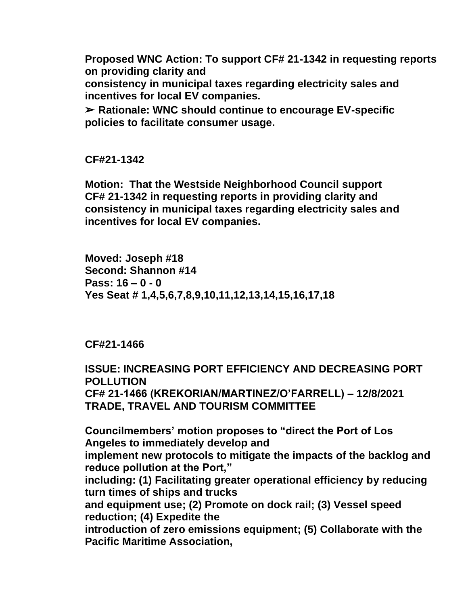**Proposed WNC Action: To support CF# 21-1342 in requesting reports on providing clarity and** 

**consistency in municipal taxes regarding electricity sales and incentives for local EV companies.**

➢ **Rationale: WNC should continue to encourage EV-specific policies to facilitate consumer usage.**

**CF#21-1342**

**Motion: That the Westside Neighborhood Council support CF# 21-1342 in requesting reports in providing clarity and consistency in municipal taxes regarding electricity sales and incentives for local EV companies.**

**Moved: Joseph #18 Second: Shannon #14 Pass: 16 – 0 - 0 Yes Seat # 1,4,5,6,7,8,9,10,11,12,13,14,15,16,17,18**

### **CF#21-1466**

**ISSUE: INCREASING PORT EFFICIENCY AND DECREASING PORT POLLUTION CF# 21-1466 (KREKORIAN/MARTINEZ/O'FARRELL) – 12/8/2021 TRADE, TRAVEL AND TOURISM COMMITTEE**

**Councilmembers' motion proposes to "direct the Port of Los Angeles to immediately develop and implement new protocols to mitigate the impacts of the backlog and reduce pollution at the Port," including: (1) Facilitating greater operational efficiency by reducing turn times of ships and trucks and equipment use; (2) Promote on dock rail; (3) Vessel speed reduction; (4) Expedite the introduction of zero emissions equipment; (5) Collaborate with the Pacific Maritime Association,**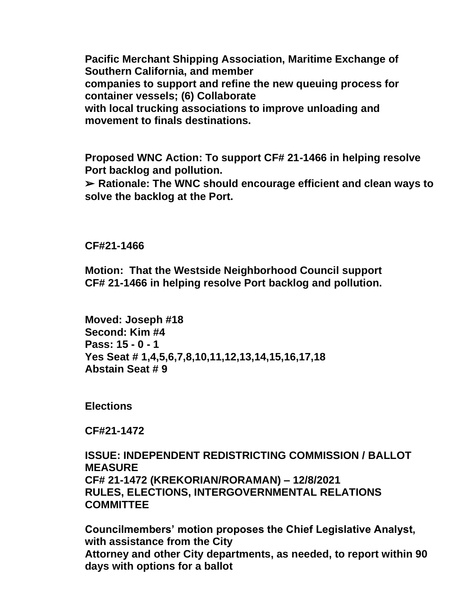**Pacific Merchant Shipping Association, Maritime Exchange of Southern California, and member companies to support and refine the new queuing process for container vessels; (6) Collaborate with local trucking associations to improve unloading and movement to finals destinations.**

**Proposed WNC Action: To support CF# 21-1466 in helping resolve Port backlog and pollution.**

➢ **Rationale: The WNC should encourage efficient and clean ways to solve the backlog at the Port.**

**CF#21-1466**

**Motion: That the Westside Neighborhood Council support CF# 21-1466 in helping resolve Port backlog and pollution.**

**Moved: Joseph #18 Second: Kim #4 Pass: 15 - 0 - 1 Yes Seat # 1,4,5,6,7,8,10,11,12,13,14,15,16,17,18 Abstain Seat # 9**

**Elections**

**CF#21-1472**

**ISSUE: INDEPENDENT REDISTRICTING COMMISSION / BALLOT MEASURE CF# 21-1472 (KREKORIAN/RORAMAN) – 12/8/2021 RULES, ELECTIONS, INTERGOVERNMENTAL RELATIONS COMMITTEE**

**Councilmembers' motion proposes the Chief Legislative Analyst, with assistance from the City Attorney and other City departments, as needed, to report within 90 days with options for a ballot**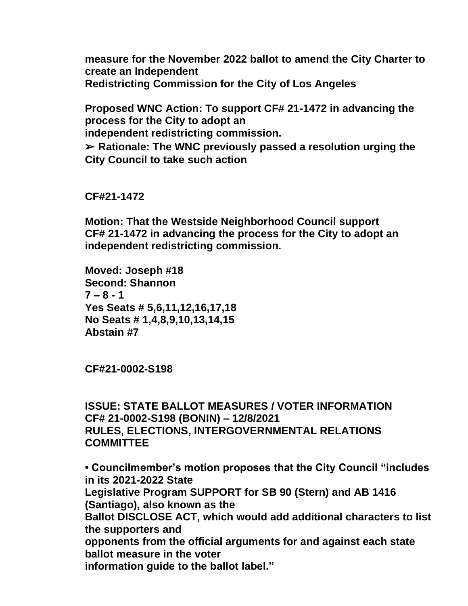**measure for the November 2022 ballot to amend the City Charter to create an Independent Redistricting Commission for the City of Los Angeles**

**Proposed WNC Action: To support CF# 21-1472 in advancing the process for the City to adopt an independent redistricting commission.** ➢ **Rationale: The WNC previously passed a resolution urging the City Council to take such action**

**CF#21-1472**

**Motion: That the Westside Neighborhood Council support CF# 21-1472 in advancing the process for the City to adopt an independent redistricting commission.**

**Moved: Joseph #18 Second: Shannon**  $7 - 8 - 1$ **Yes Seats # 5,6,11,12,16,17,18 No Seats # 1,4,8,9,10,13,14,15 Abstain #7**

**CF#21-0002-S198**

**ISSUE: STATE BALLOT MEASURES / VOTER INFORMATION CF# 21-0002-S198 (BONIN) – 12/8/2021 RULES, ELECTIONS, INTERGOVERNMENTAL RELATIONS COMMITTEE**

**• Councilmember's motion proposes that the City Council "includes in its 2021-2022 State Legislative Program SUPPORT for SB 90 (Stern) and AB 1416 (Santiago), also known as the Ballot DISCLOSE ACT, which would add additional characters to list the supporters and opponents from the official arguments for and against each state ballot measure in the voter information guide to the ballot label."**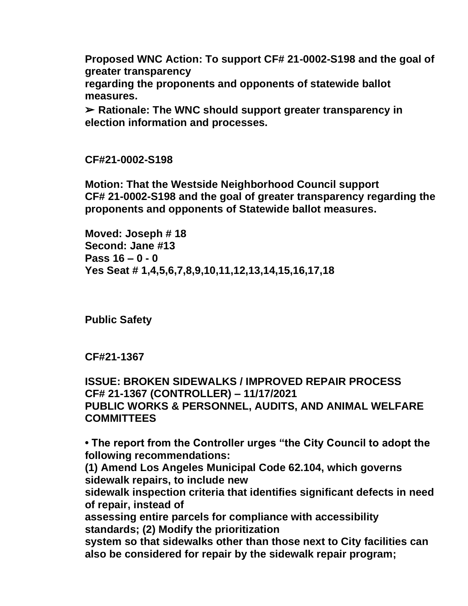**Proposed WNC Action: To support CF# 21-0002-S198 and the goal of greater transparency** 

**regarding the proponents and opponents of statewide ballot measures.**

➢ **Rationale: The WNC should support greater transparency in election information and processes.**

**CF#21-0002-S198**

**Motion: That the Westside Neighborhood Council support CF# 21-0002-S198 and the goal of greater transparency regarding the proponents and opponents of Statewide ballot measures.**

**Moved: Joseph # 18 Second: Jane #13 Pass 16 – 0 - 0 Yes Seat # 1,4,5,6,7,8,9,10,11,12,13,14,15,16,17,18**

**Public Safety**

**CF#21-1367**

**ISSUE: BROKEN SIDEWALKS / IMPROVED REPAIR PROCESS CF# 21-1367 (CONTROLLER) – 11/17/2021 PUBLIC WORKS & PERSONNEL, AUDITS, AND ANIMAL WELFARE COMMITTEES**

**• The report from the Controller urges "the City Council to adopt the following recommendations:** 

**(1) Amend Los Angeles Municipal Code 62.104, which governs sidewalk repairs, to include new** 

**sidewalk inspection criteria that identifies significant defects in need of repair, instead of** 

**assessing entire parcels for compliance with accessibility standards; (2) Modify the prioritization** 

**system so that sidewalks other than those next to City facilities can also be considered for repair by the sidewalk repair program;**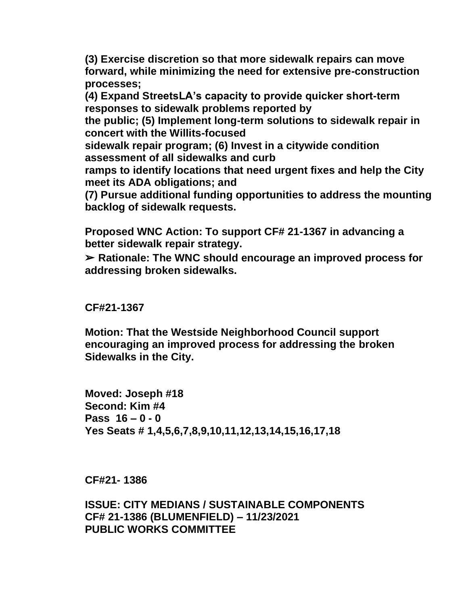**(3) Exercise discretion so that more sidewalk repairs can move forward, while minimizing the need for extensive pre-construction processes;** 

**(4) Expand StreetsLA's capacity to provide quicker short-term responses to sidewalk problems reported by** 

**the public; (5) Implement long-term solutions to sidewalk repair in concert with the Willits-focused** 

**sidewalk repair program; (6) Invest in a citywide condition assessment of all sidewalks and curb** 

**ramps to identify locations that need urgent fixes and help the City meet its ADA obligations; and** 

**(7) Pursue additional funding opportunities to address the mounting backlog of sidewalk requests.**

**Proposed WNC Action: To support CF# 21-1367 in advancing a better sidewalk repair strategy.**

➢ **Rationale: The WNC should encourage an improved process for addressing broken sidewalks.**

### **CF#21-1367**

**Motion: That the Westside Neighborhood Council support encouraging an improved process for addressing the broken Sidewalks in the City.**

**Moved: Joseph #18 Second: Kim #4 Pass 16 – 0 - 0 Yes Seats # 1,4,5,6,7,8,9,10,11,12,13,14,15,16,17,18**

**CF#21- 1386**

**ISSUE: CITY MEDIANS / SUSTAINABLE COMPONENTS CF# 21-1386 (BLUMENFIELD) – 11/23/2021 PUBLIC WORKS COMMITTEE**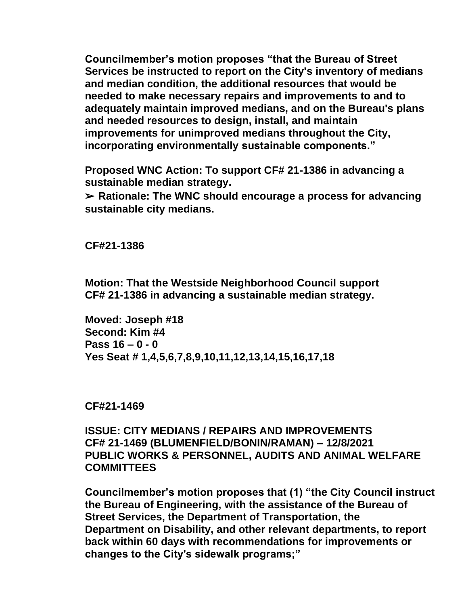**Councilmember's motion proposes "that the Bureau of Street Services be instructed to report on the City's inventory of medians and median condition, the additional resources that would be needed to make necessary repairs and improvements to and to adequately maintain improved medians, and on the Bureau's plans and needed resources to design, install, and maintain improvements for unimproved medians throughout the City, incorporating environmentally sustainable components."**

**Proposed WNC Action: To support CF# 21-1386 in advancing a sustainable median strategy.**

➢ **Rationale: The WNC should encourage a process for advancing sustainable city medians.**

**CF#21-1386**

**Motion: That the Westside Neighborhood Council support CF# 21-1386 in advancing a sustainable median strategy.**

**Moved: Joseph #18 Second: Kim #4 Pass 16 – 0 - 0 Yes Seat # 1,4,5,6,7,8,9,10,11,12,13,14,15,16,17,18**

**CF#21-1469**

**ISSUE: CITY MEDIANS / REPAIRS AND IMPROVEMENTS CF# 21-1469 (BLUMENFIELD/BONIN/RAMAN) – 12/8/2021 PUBLIC WORKS & PERSONNEL, AUDITS AND ANIMAL WELFARE COMMITTEES**

**Councilmember's motion proposes that (1) "the City Council instruct the Bureau of Engineering, with the assistance of the Bureau of Street Services, the Department of Transportation, the Department on Disability, and other relevant departments, to report back within 60 days with recommendations for improvements or changes to the City's sidewalk programs;"**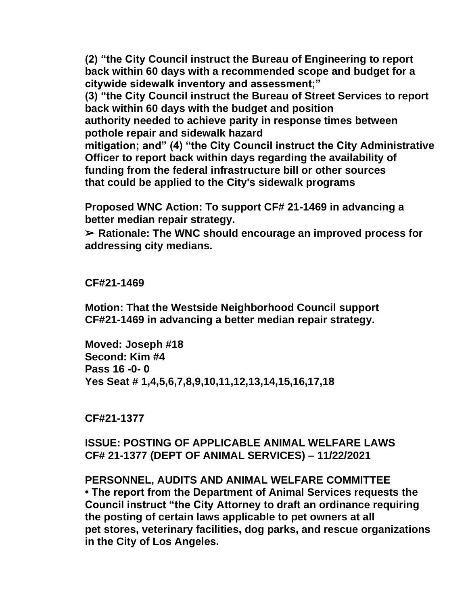**(2) "the City Council instruct the Bureau of Engineering to report back within 60 days with a recommended scope and budget for a citywide sidewalk inventory and assessment;"** 

**(3) "the City Council instruct the Bureau of Street Services to report back within 60 days with the budget and position** 

**authority needed to achieve parity in response times between pothole repair and sidewalk hazard** 

**mitigation; and" (4) "the City Council instruct the City Administrative Officer to report back within days regarding the availability of funding from the federal infrastructure bill or other sources that could be applied to the City's sidewalk programs**

**Proposed WNC Action: To support CF# 21-1469 in advancing a better median repair strategy.**

➢ **Rationale: The WNC should encourage an improved process for addressing city medians.**

**CF#21-1469**

**Motion: That the Westside Neighborhood Council support CF#21-1469 in advancing a better median repair strategy.**

**Moved: Joseph #18 Second: Kim #4 Pass 16 -0- 0 Yes Seat # 1,4,5,6,7,8,9,10,11,12,13,14,15,16,17,18**

**CF#21-1377**

**ISSUE: POSTING OF APPLICABLE ANIMAL WELFARE LAWS CF# 21-1377 (DEPT OF ANIMAL SERVICES) – 11/22/2021**

**PERSONNEL, AUDITS AND ANIMAL WELFARE COMMITTEE • The report from the Department of Animal Services requests the Council instruct "the City Attorney to draft an ordinance requiring the posting of certain laws applicable to pet owners at all pet stores, veterinary facilities, dog parks, and rescue organizations in the City of Los Angeles.**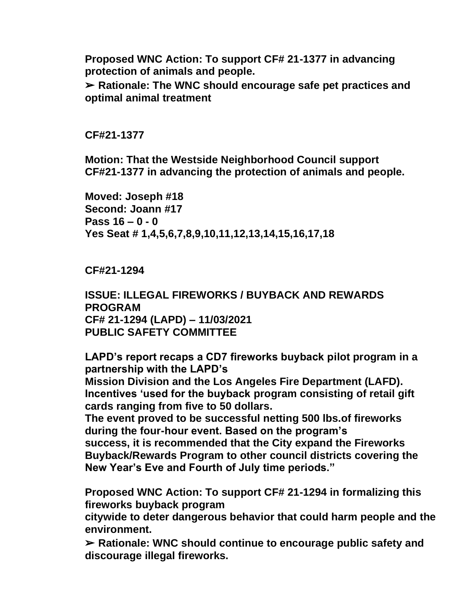**Proposed WNC Action: To support CF# 21-1377 in advancing protection of animals and people.**

➢ **Rationale: The WNC should encourage safe pet practices and optimal animal treatment**

**CF#21-1377**

**Motion: That the Westside Neighborhood Council support CF#21-1377 in advancing the protection of animals and people.**

**Moved: Joseph #18 Second: Joann #17 Pass 16 – 0 - 0 Yes Seat # 1,4,5,6,7,8,9,10,11,12,13,14,15,16,17,18**

**CF#21-1294**

**ISSUE: ILLEGAL FIREWORKS / BUYBACK AND REWARDS PROGRAM CF# 21-1294 (LAPD) – 11/03/2021 PUBLIC SAFETY COMMITTEE**

**LAPD's report recaps a CD7 fireworks buyback pilot program in a partnership with the LAPD's** 

**Mission Division and the Los Angeles Fire Department (LAFD). Incentives 'used for the buyback program consisting of retail gift cards ranging from five to 50 dollars.** 

**The event proved to be successful netting 500 lbs.of fireworks during the four-hour event. Based on the program's success, it is recommended that the City expand the Fireworks Buyback/Rewards Program to other council districts covering the New Year's Eve and Fourth of July time periods."**

**Proposed WNC Action: To support CF# 21-1294 in formalizing this fireworks buyback program** 

**citywide to deter dangerous behavior that could harm people and the environment.**

➢ **Rationale: WNC should continue to encourage public safety and discourage illegal fireworks.**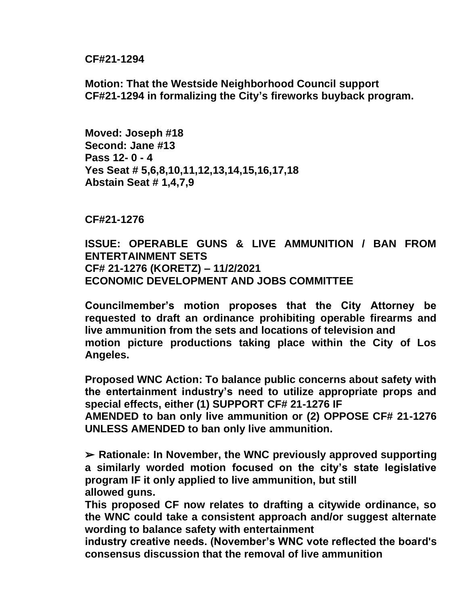**CF#21-1294**

**Motion: That the Westside Neighborhood Council support CF#21-1294 in formalizing the City's fireworks buyback program.**

**Moved: Joseph #18 Second: Jane #13 Pass 12- 0 - 4 Yes Seat # 5,6,8,10,11,12,13,14,15,16,17,18 Abstain Seat # 1,4,7,9**

**CF#21-1276**

**ISSUE: OPERABLE GUNS & LIVE AMMUNITION / BAN FROM ENTERTAINMENT SETS CF# 21-1276 (KORETZ) – 11/2/2021 ECONOMIC DEVELOPMENT AND JOBS COMMITTEE**

**Councilmember's motion proposes that the City Attorney be requested to draft an ordinance prohibiting operable firearms and live ammunition from the sets and locations of television and motion picture productions taking place within the City of Los Angeles.**

**Proposed WNC Action: To balance public concerns about safety with the entertainment industry's need to utilize appropriate props and special effects, either (1) SUPPORT CF# 21-1276 IF** 

**AMENDED to ban only live ammunition or (2) OPPOSE CF# 21-1276 UNLESS AMENDED to ban only live ammunition.**

➢ **Rationale: In November, the WNC previously approved supporting a similarly worded motion focused on the city's state legislative program IF it only applied to live ammunition, but still allowed guns.** 

**This proposed CF now relates to drafting a citywide ordinance, so the WNC could take a consistent approach and/or suggest alternate wording to balance safety with entertainment** 

**industry creative needs. (November's WNC vote reflected the board's consensus discussion that the removal of live ammunition**